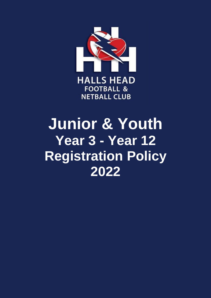

# **Junior & Youth Year 3 - Year 12 Registration Policy 2022**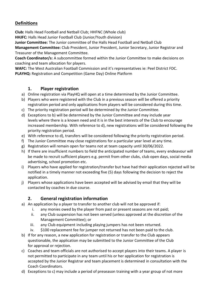# **Definitions**

**Club:** Halls Head Football and Netball Club; HHFNC (Whole club)

**HHJFC:** Halls Head Junior Football Club (Junior/Youth division)

**Junior Committee:** The Junior committee of the Halls Head Football and Netball Club

**Management Committee:** Club President, Junior President, Junior Secretary, Junior Registrar and Treasurer of the Management Committee.

**Coach Coordinator/s:** A subcommittee formed within the Junior Committee to make decisions on coaching and team allocation for players.

**WAFC:** The West Australian Football Commission and it's representatives ie: Peel District FDC. **PLAYHQ:** Registration and Competition (Game Day) Online Platform

#### **1. Player registration**

- a) Online registration via PlayHQ will open at a time determined by the Junior Committee.
- b) Players who were registered with the Club in a previous season will be offered a priority registration period and only applications from players will be considered during this time.
- c) The priority registration period will be determined by the Junior Committee.
- d) Exceptions to b) will be determined by the Junior Committee and may include year levels where there is a known need and it is in the best interests of the Club to encourage increased membership. With reference to d), new registrations will be considered following the priority registration period.
- e) With reference to d), transfers will be considered following the priority registration period.
- f) The Junior Committee may close registrations for a particular year level at any time.
- g) Registration will remain open for teams not at team capacity until 30/06/2022.
- h) If there are insufficient numbers to field the anticipated number of teams, every endeavour will be made to recruit sufficient players e.g. permit from other clubs, club open days, social media advertising, school promotion etc.
- i) Players who have applied for registration/transfer but have had their application rejected will be notified in a timely manner not exceeding five (5) days following the decision to reject the application.
- j) Players whose applications have been accepted will be advised by email that they will be contacted by coaches in due course.

### **2. General registration information**

- a) An application by a player to transfer to another club will not be approved if:
	- i. any monies owed by the player from past or present seasons are not paid;
	- ii. any Club suspension has not been served (unless approved at the discretion of the Management Committee); or
	- iii. any Club equipment including playing jumpers has not been returned.
	- iv. \$100 replacement fee for jumper not returned has not been paid to the club.
- b) If for any reason, a new application for registration or transfer to the Club appears questionable, the application may be submitted to the Junior Committee of the Club for approval or rejection.
- c) Coaches and team officials are not authorised to accept players into their teams. A player is not permitted to participate in any team until his or her application for registration is accepted by the Junior Registrar and team placement is determined in consultation with the Coach Coordinators.
- d) Exceptions to c) may include a period of preseason training with a year group of not more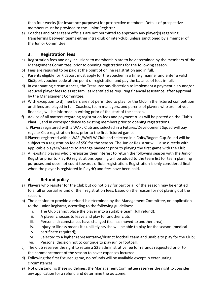than four weeks (for insurance purposes) for prospective members. Details of prospective members must be provided to the Junior Registrar.

e) Coaches and other team officials are not permitted to approach any player(s) regarding transferring between teams either intra-club or inter-club, unless sanctioned by a member of the Junior Committee.

## **3. Registration fees**

- a) Registration fees and any inclusions to membership are to be determined by the members of the Management Committee, prior to opening registrations for the following season.
- b) Fees are required to be paid at the point of online registration and in full.
- c) Parents eligible for KidSport must apply for the voucher in a timely manner and enter a valid KidSport voucher code at the point of registration and pay the balance of fees in full.
- d) In extenuating circumstances, the Treasurer has discretion to implement a payment plan and/or reduced player fees to assist families identified as requiring financial assistance, after approval by the Management Committee.
- e) With exception to d) members are not permitted to play for the Club in the fixtured competition until fees are played in full. Coaches, team managers, and parents of players who are not yet financial, will be informed in writing prior of the start of the season.
- f) Advice of all matters regarding registration fees and payment rules will be posted on the Club's PlayHQ and in correspondence to existing members prior to opening registrations.
	- i. Players registered with a WAFL Club and selected in a Futures/Development Squad will pay regular Club registration fees, prior to the first fixtured game.
	- ii.Players registered with a WAFL/WAFLW Club and selected in a Colts/Rogers Cup Squad will be subject to a registration fee of \$50 for the season. The Junior Registrar will liaise directly with applicable players/parents to arrange payment prior to playing the first game with the Club.
- g) All existing players who preregister their interest to return the following season with the Junior Registrar prior to PlayHQ registrations opening will be added to the team list for team planning purposes and does not count towards official registration. Registration is only considered final when the player is registered in PlayHQ and fees have been paid.

# **4. Refund policy**

- a) Players who register for the Club but do not play for part or all of the season may be entitled to a full or partial refund of their registration fees, based on the reason for not playing out the season.
- b) The decision to provide a refund is determined by the Management Committee, on application to the Junior Registrar, according to the following guidelines:
	- i. The Club cannot place the player into a suitable team (full refund);
	- ii. A player chooses to leave and play for another club;
	- iii. Personal circumstances have changed (i.e. has moved to another area);
	- iv. Injury or illness means it's unlikely he/she will be able to play for the season (medical
	- v. certificate required);
	- vi. Selected to a higher representative/district football team and unable to play for the Club;
	- vii. Personal decision not to continue to play junior football.
- c) The Club reserves the right to retain a \$25 administrative fee for refunds requested prior to the commencement of the season to cover expenses incurred.
- d) Following the first fixtured game, no refunds will be available except in extenuating circumstances.
- e) Notwithstanding these guidelines, the Management Committee reserves the right to consider any application for a refund and determine the outcome.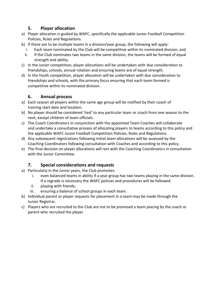#### **5. Player allocation**

- a) Player allocation is guided by WAFC, specifically the applicable Junior Football Competition Policies, Rules and Regulations.
- b) If there are to be multiple teams in a division/year group, the following will apply:
	- i. Each team nominated by the Club will be competitive within its nominated division; and
	- ii. If the Club nominates two teams in the same division, the teams will be formed of equal strength and ability.
- c) In the Junior competition, player allocations will be undertaken with due consideration to friendships, schools, annual rotation and ensuring teams are of equal strength.
- d) In the Youth competition, player allocation will be undertaken with due consideration to friendships and schools, with the primary focus ensuring that each team formed is competitive within its nominated division.

## **6. Annual process**

- a) Each season all players within the same age group will be notified by their coach of training start date and location.
- b) No player should be considered 'tied' to any particular team or coach from one season to the next, except children of team officials.
- c) The Coach Coordinators in conjunction with the appointed Team Coaches will collaborate and undertake a consultative process of allocating players to teams according to this policy and the applicable WAFC Junior Football Competition Policies, Rules and Regulations.
- d) Any subsequent registrations following initial team allocations will be assessed by the Coaching Coordinators following consultation with Coaches and according to this policy.
- e) The final decision on player allocations will rest with the Coaching Coordinators in consultation with the Junior Committee.

# **7. Special considerations and requests**

- a) Particularly in the Junior years, the Club promotes:
	- i. even balanced teams in ability if a year group has two teams playing in the same division. If a regrade is necessary the WAFC policies and procedures will be followed.
	- ii. playing with friends;
	- iii. ensuring a balance of school groups in each team.
- b) Individual parent or player requests for placement in a team may be made through the Junior Registrar.
- c) Players who are recruited to the Club are not to be promised a team placing by the coach or parent who recruited the player.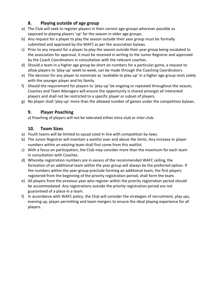# **8. Playing outside of age group**

- a) The Club will seek to register players in their correct age-groups wherever possible as opposed to playing players 'up' for the season in older age groups.
- b) Any request for a player to play the season outside their year group must be formally submitted and approved by the WAFC as per the association bylaws.
- c) Prior to any request for a player to play the season outside their year group being escalated to the association for approval, it must be received in writing to the Junior Registrar and approved by the Coach Coordinators in consultation with the relevant coaches.
- d) Should a team in a higher age group be short on numbers for a particular game, a request to allow players to 'play-up' week to week, can be made through the Coaching Coordinators.
- e) The decision for any player to nominate as 'available to play-up' in a higher age group rests solely with the younger player and his family.
- f) Should the requirement for players to 'play-up' be ongoing or repeated throughout the season, Coaches and Team Managers will ensure the opportunity is shared amongst all interested players and shall not be restricted to a specific player or subset of players.
- g) No player shall 'play-up' more than the allowed number of games under the competition bylaws.

### **9. Player Poaching**

a) Poaching of players will not be tolerated either intra-club or inter-club.

# **10. Team Sizes**

- a) Youth teams will be limited to squad sized in line with competition by-laws.
- b) The Junior Registrar will maintain a waitlist over and above the limits. Any increase in player numbers within an existing team shall first come from this waitlist.
- c) With a focus on participation, the Club may consider more than the maximum for each team in consultation with Coaches.
- d) Whereby registration numbers are in excess of the recommended WAFC ceiling, the formation of an additional team within the year group will always be the preferred option. If the numbers within the year-group preclude forming an additional team, the first players registered from the beginning of the priority registration period, shall form the team.
- e) All players from the previous year who register within the priority registration period should be accommodated. Any registrations outside the priority registration period are not guaranteed of a place in a team.
- f) In accordance with WAFC policy, the Club will consider the strategies of recruitment, play ups, evening up, player permitting and team mergers to ensure the ideal playing experience for all players.